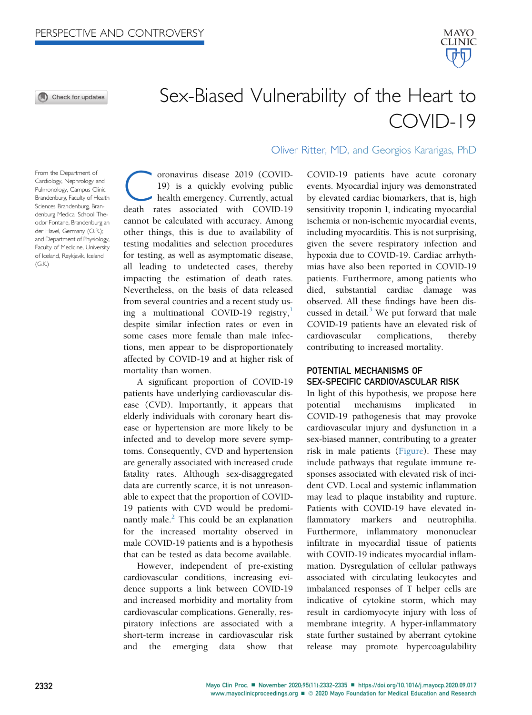O Check for updates



# Sex-Biased Vulnerability of the Heart to COVID-19

From the Department of Cardiology, Nephrology and Pulmonology, Campus Clinic Brandenburg, Faculty of Health Sciences Brandenburg, Brandenburg Medical School Theodor Fontane, Brandenburg an der Havel, Germany (O.R.); and Department of Physiology, Faculty of Medicine, University of Iceland, Reykjavik, Iceland  $(G.K.)$ 

Coronavirus disease 2019 (COVID-death rates associated with COVID-19 19) is a quickly evolving public health emergency. Currently, actual cannot be calculated with accuracy. Among other things, this is due to availability of testing modalities and selection procedures for testing, as well as asymptomatic disease, all leading to undetected cases, thereby impacting the estimation of death rates. Nevertheless, on the basis of data released from several countries and a recent study us-ing a multinational COVID-[1](#page-3-0)9 registry, $\frac{1}{1}$ despite similar infection rates or even in some cases more female than male infections, men appear to be disproportionately affected by COVID-19 and at higher risk of mortality than women.

A significant proportion of COVID-19 patients have underlying cardiovascular disease (CVD). Importantly, it appears that elderly individuals with coronary heart disease or hypertension are more likely to be infected and to develop more severe symptoms. Consequently, CVD and hypertension are generally associated with increased crude fatality rates. Although sex-disaggregated data are currently scarce, it is not unreasonable to expect that the proportion of COVID-19 patients with CVD would be predominantly male. $<sup>2</sup>$  $<sup>2</sup>$  $<sup>2</sup>$  This could be an explanation</sup> for the increased mortality observed in male COVID-19 patients and is a hypothesis that can be tested as data become available.

However, independent of pre-existing cardiovascular conditions, increasing evidence supports a link between COVID-19 and increased morbidity and mortality from cardiovascular complications. Generally, respiratory infections are associated with a short-term increase in cardiovascular risk and the emerging data show that

Oliver Ritter, MD, and Georgios Kararigas, PhD

COVID-19 patients have acute coronary events. Myocardial injury was demonstrated by elevated cardiac biomarkers, that is, high sensitivity troponin I, indicating myocardial ischemia or non-ischemic myocardial events, including myocarditis. This is not surprising, given the severe respiratory infection and hypoxia due to COVID-19. Cardiac arrhythmias have also been reported in COVID-19 patients. Furthermore, among patients who died, substantial cardiac damage was observed. All these findings have been discussed in detail. $3$  We put forward that male COVID-19 patients have an elevated risk of cardiovascular complications, thereby contributing to increased mortality.

### POTENTIAL MECHANISMS OF SEX-SPECIFIC CARDIOVASCULAR RISK

In light of this hypothesis, we propose here potential mechanisms implicated in COVID-19 pathogenesis that may provoke cardiovascular injury and dysfunction in a sex-biased manner, contributing to a greater risk in male patients ([Figure\)](#page-1-0). These may include pathways that regulate immune responses associated with elevated risk of incident CVD. Local and systemic inflammation may lead to plaque instability and rupture. Patients with COVID-19 have elevated inflammatory markers and neutrophilia. Furthermore, inflammatory mononuclear infiltrate in myocardial tissue of patients with COVID-19 indicates myocardial inflammation. Dysregulation of cellular pathways associated with circulating leukocytes and imbalanced responses of T helper cells are indicative of cytokine storm, which may result in cardiomyocyte injury with loss of membrane integrity. A hyper-inflammatory state further sustained by aberrant cytokine release may promote hypercoagulability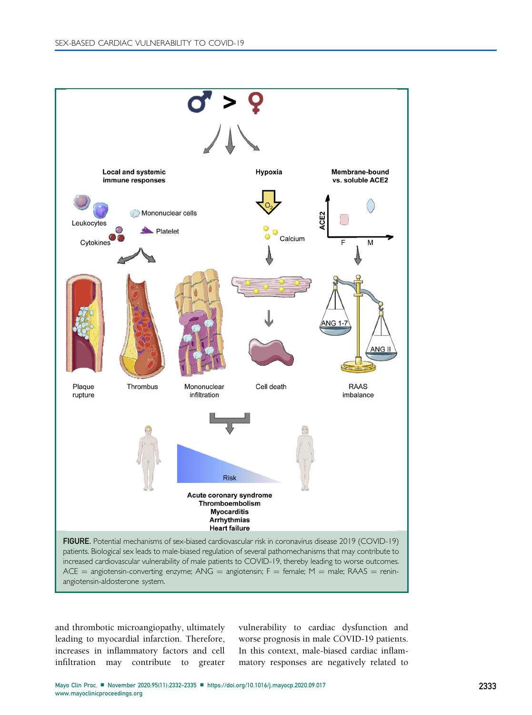<span id="page-1-0"></span>

and thrombotic microangiopathy, ultimately leading to myocardial infarction. Therefore, increases in inflammatory factors and cell infiltration may contribute to greater

vulnerability to cardiac dysfunction and worse prognosis in male COVID-19 patients. In this context, male-biased cardiac inflammatory responses are negatively related to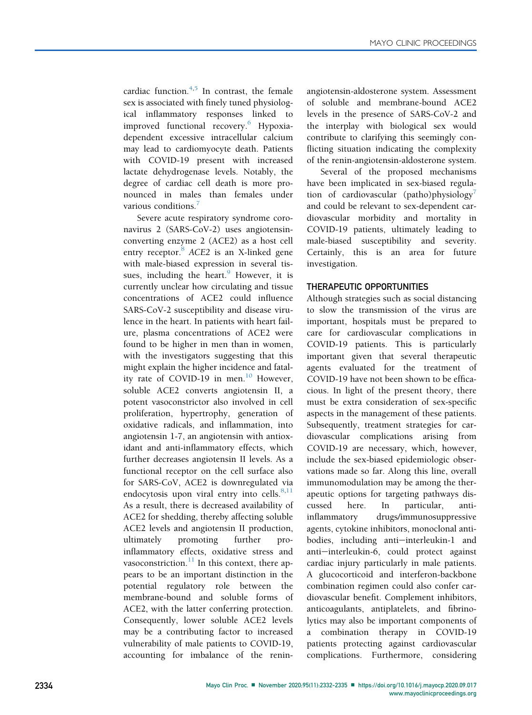cardiac function. $4,5$  $4,5$  In contrast, the female sex is associated with finely tuned physiological inflammatory responses linked to improved functional recovery.<sup>[6](#page-3-5)</sup> Hypoxiadependent excessive intracellular calcium may lead to cardiomyocyte death. Patients with COVID-19 present with increased lactate dehydrogenase levels. Notably, the degree of cardiac cell death is more pronounced in males than females under various conditions.

Severe acute respiratory syndrome coronavirus 2 (SARS-CoV-2) uses angiotensinconverting enzyme 2 (ACE2) as a host cell entry receptor.<sup>[8](#page-3-7)</sup> ACE2 is an X-linked gene with male-biased expression in several tis-sues, including the heart.<sup>[9](#page-3-8)</sup> However, it is currently unclear how circulating and tissue concentrations of ACE2 could influence SARS-CoV-2 susceptibility and disease virulence in the heart. In patients with heart failure, plasma concentrations of ACE2 were found to be higher in men than in women, with the investigators suggesting that this might explain the higher incidence and fatal-ity rate of COVID-19 in men.<sup>[10](#page-3-9)</sup> However, soluble ACE2 converts angiotensin II, a potent vasoconstrictor also involved in cell proliferation, hypertrophy, generation of oxidative radicals, and inflammation, into angiotensin 1-7, an angiotensin with antioxidant and anti-inflammatory effects, which further decreases angiotensin II levels. As a functional receptor on the cell surface also for SARS-CoV, ACE2 is downregulated via endocytosis upon viral entry into cells. $8,11$  $8,11$ As a result, there is decreased availability of ACE2 for shedding, thereby affecting soluble ACE2 levels and angiotensin II production, ultimately promoting further proinflammatory effects, oxidative stress and vasoconstriction. $11$  In this context, there appears to be an important distinction in the potential regulatory role between the membrane-bound and soluble forms of ACE2, with the latter conferring protection. Consequently, lower soluble ACE2 levels may be a contributing factor to increased vulnerability of male patients to COVID-19, accounting for imbalance of the reninangiotensin-aldosterone system. Assessment of soluble and membrane-bound ACE2 levels in the presence of SARS-CoV-2 and the interplay with biological sex would contribute to clarifying this seemingly conflicting situation indicating the complexity of the renin-angiotensin-aldosterone system.

Several of the proposed mechanisms have been implicated in sex-biased regulation of cardiovascular (patho)physiology<sup> $\prime$ </sup> and could be relevant to sex-dependent cardiovascular morbidity and mortality in COVID-19 patients, ultimately leading to male-biased susceptibility and severity. Certainly, this is an area for future investigation.

## THERAPEUTIC OPPORTUNITIES

Although strategies such as social distancing to slow the transmission of the virus are important, hospitals must be prepared to care for cardiovascular complications in COVID-19 patients. This is particularly important given that several therapeutic agents evaluated for the treatment of COVID-19 have not been shown to be efficacious. In light of the present theory, there must be extra consideration of sex-specific aspects in the management of these patients. Subsequently, treatment strategies for cardiovascular complications arising from COVID-19 are necessary, which, however, include the sex-biased epidemiologic observations made so far. Along this line, overall immunomodulation may be among the therapeutic options for targeting pathways discussed here. In particular, antiinflammatory drugs/immunosuppressive agents, cytokine inhibitors, monoclonal antibodies, including anti-interleukin-1 and anti-interleukin-6, could protect against cardiac injury particularly in male patients. A glucocorticoid and interferon-backbone combination regimen could also confer cardiovascular benefit. Complement inhibitors, anticoagulants, antiplatelets, and fibrinolytics may also be important components of a combination therapy in COVID-19 patients protecting against cardiovascular complications. Furthermore, considering